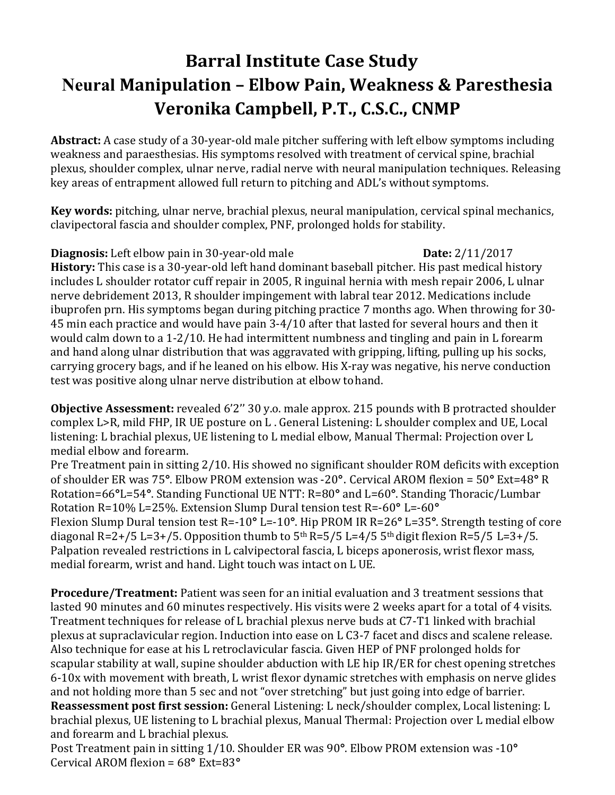## **Barral Institute Case Study Neural Manipulation – Elbow Pain, Weakness & Paresthesia Veronika Campbell, P.T., C.S.C., CNMP**

**Abstract:** A case study of a 30-year-old male pitcher suffering with left elbow symptoms including weakness and paraesthesias. His symptoms resolved with treatment of cervical spine, brachial plexus, shoulder complex, ulnar nerve, radial nerve with neural manipulation techniques. Releasing key areas of entrapment allowed full return to pitching and ADL's without symptoms.

**Key words:** pitching, ulnar nerve, brachial plexus, neural manipulation, cervical spinal mechanics, clavipectoral fascia and shoulder complex, PNF, prolonged holds for stability.

## **Diagnosis:** Left elbow pain in 30-year-old male **Date:** 2/11/2017

**History:** This case is a 30-year-old left hand dominant baseball pitcher. His past medical history includes L shoulder rotator cuff repair in 2005, R inguinal hernia with mesh repair 2006, L ulnar nerve debridement 2013, R shoulder impingement with labral tear 2012. Medications include ibuprofen prn. His symptoms began during pitching practice 7 months ago. When throwing for 30- 45 min each practice and would have pain 3-4/10 after that lasted for several hours and then it would calm down to a 1-2/10. He had intermittent numbness and tingling and pain in L forearm and hand along ulnar distribution that was aggravated with gripping, lifting, pulling up his socks, carrying grocery bags, and if he leaned on his elbow. His X-ray was negative, his nerve conduction test was positive along ulnar nerve distribution at elbow to hand.

**Objective Assessment:** revealed 6'2'' 30 y.o. male approx. 215 pounds with B protracted shoulder complex L>R, mild FHP, IR UE posture on L . General Listening: L shoulder complex and UE, Local listening: L brachial plexus, UE listening to L medial elbow, Manual Thermal: Projection over L medial elbow and forearm.

Pre Treatment pain in sitting 2/10. His showed no significant shoulder ROM deficits with exception of shoulder ER was 75**°**. Elbow PROM extension was -20**°**. Cervical AROM flexion = 50**°** Ext=48**°** R Rotation=66**°**L=54**°**. Standing Functional UE NTT: R=80**°** and L=60**°**. Standing Thoracic/Lumbar Rotation R=10% L=25%. Extension Slump Dural tension test R=-60**°** L=-60**°** Flexion Slump Dural tension test R=-10**°** L=-10**°**. Hip PROM IR R=26**°** L=35**°**. Strength testing of core diagonal R=2+/5 L=3+/5. Opposition thumb to  $5<sup>th</sup>$  R=5/5 L=4/5  $5<sup>th</sup>$  digit flexion R=5/5 L=3+/5. Palpation revealed restrictions in L calvipectoral fascia, L biceps aponerosis, wrist flexor mass, medial forearm, wrist and hand. Light touch was intact on L UE.

**Procedure/Treatment:** Patient was seen for an initial evaluation and 3 treatment sessions that lasted 90 minutes and 60 minutes respectively. His visits were 2 weeks apart for a total of 4 visits. Treatment techniques for release of L brachial plexus nerve buds at C7-T1 linked with brachial plexus at supraclavicular region. Induction into ease on L C3-7 facet and discs and scalene release. Also technique for ease at his L retroclavicular fascia. Given HEP of PNF prolonged holds for scapular stability at wall, supine shoulder abduction with LE hip IR/ER for chest opening stretches 6-10x with movement with breath, L wrist flexor dynamic stretches with emphasis on nerve glides and not holding more than 5 sec and not "over stretching" but just going into edge of barrier. **Reassessment post first session:** General Listening: L neck/shoulder complex, Local listening: L brachial plexus, UE listening to L brachial plexus, Manual Thermal: Projection over L medial elbow and forearm and L brachial plexus.

Post Treatment pain in sitting 1/10. Shoulder ER was 90**°**. Elbow PROM extension was -10**°**  Cervical AROM flexion = 68**°** Ext=83**°**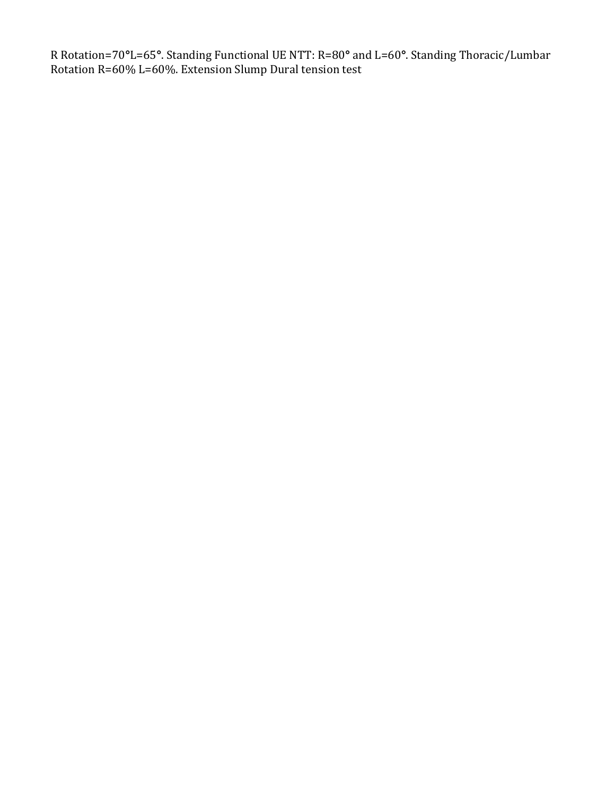R Rotation=70**°**L=65**°**. Standing Functional UE NTT: R=80**°** and L=60**°**. Standing Thoracic/Lumbar Rotation R=60% L=60%. Extension Slump Dural tension test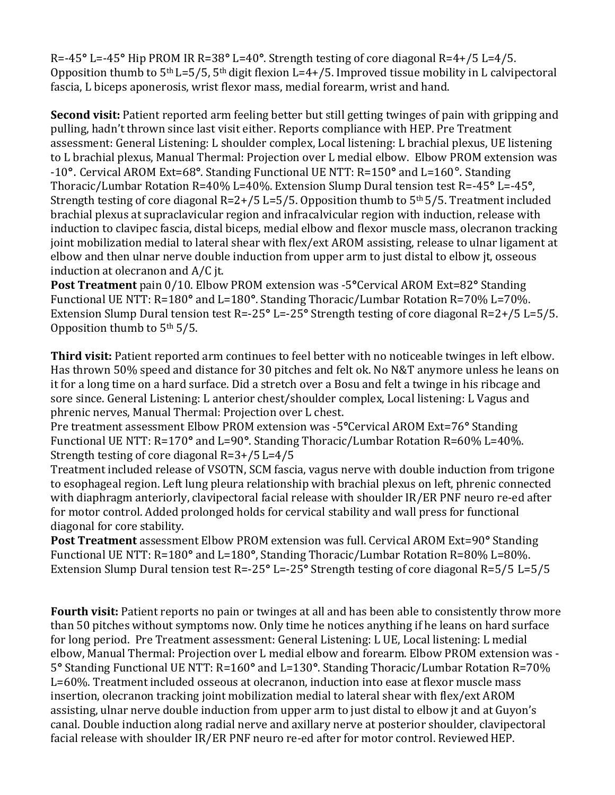R=-45**°** L=-45**°** Hip PROM IR R=38**°** L=40**°**. Strength testing of core diagonal R=4+/5 L=4/5. Opposition thumb to  $5<sup>th</sup> L=5/5$ ,  $5<sup>th</sup>$  digit flexion L=4+/5. Improved tissue mobility in L calvipectoral fascia, L biceps aponerosis, wrist flexor mass, medial forearm, wrist and hand.

**Second visit:** Patient reported arm feeling better but still getting twinges of pain with gripping and pulling, hadn't thrown since last visit either. Reports compliance with HEP. Pre Treatment assessment: General Listening: L shoulder complex, Local listening: L brachial plexus, UE listening to L brachial plexus, Manual Thermal: Projection over L medial elbow. Elbow PROM extension was -10**°**. Cervical AROM Ext=68**°**. Standing Functional UE NTT: R=150**°** and L=160°. Standing Thoracic/Lumbar Rotation R=40% L=40%. Extension Slump Dural tension test R=-45**°** L=-45**°**, Strength testing of core diagonal  $R=2+/5$  L=5/5. Opposition thumb to  $5<sup>th</sup> 5/5$ . Treatment included brachial plexus at supraclavicular region and infracalvicular region with induction, release with induction to clavipec fascia, distal biceps, medial elbow and flexor muscle mass, olecranon tracking joint mobilization medial to lateral shear with flex/ext AROM assisting, release to ulnar ligament at elbow and then ulnar nerve double induction from upper arm to just distal to elbow jt, osseous induction at olecranon and A/C jt.

**Post Treatment** pain 0/10. Elbow PROM extension was -5**°**Cervical AROM Ext=82**°** Standing Functional UE NTT: R=180**°** and L=180**°**. Standing Thoracic/Lumbar Rotation R=70% L=70%. Extension Slump Dural tension test R=-25**°** L=-25**°** Strength testing of core diagonal R=2+/5 L=5/5. Opposition thumb to 5th 5/5.

**Third visit:** Patient reported arm continues to feel better with no noticeable twinges in left elbow. Has thrown 50% speed and distance for 30 pitches and felt ok. No N&T anymore unless he leans on it for a long time on a hard surface. Did a stretch over a Bosu and felt a twinge in his ribcage and sore since. General Listening: L anterior chest/shoulder complex, Local listening: L Vagus and phrenic nerves, Manual Thermal: Projection over L chest.

Pre treatment assessment Elbow PROM extension was -5**°**Cervical AROM Ext=76**°** Standing Functional UE NTT: R=170**°** and L=90**°**. Standing Thoracic/Lumbar Rotation R=60% L=40%. Strength testing of core diagonal R=3+/5 L=4/5

Treatment included release of VSOTN, SCM fascia, vagus nerve with double induction from trigone to esophageal region. Left lung pleura relationship with brachial plexus on left, phrenic connected with diaphragm anteriorly, clavipectoral facial release with shoulder IR/ER PNF neuro re-ed after for motor control. Added prolonged holds for cervical stability and wall press for functional diagonal for core stability.

**Post Treatment** assessment Elbow PROM extension was full. Cervical AROM Ext=90**°** Standing Functional UE NTT: R=180**°** and L=180**°**, Standing Thoracic/Lumbar Rotation R=80% L=80%. Extension Slump Dural tension test R=-25**°** L=-25**°** Strength testing of core diagonal R=5/5 L=5/5

**Fourth visit:** Patient reports no pain or twinges at all and has been able to consistently throw more than 50 pitches without symptoms now. Only time he notices anything if he leans on hard surface for long period. Pre Treatment assessment: General Listening: L UE, Local listening: L medial elbow, Manual Thermal: Projection over L medial elbow and forearm. Elbow PROM extension was - 5**°** Standing Functional UE NTT: R=160**°** and L=130**°**. Standing Thoracic/Lumbar Rotation R=70% L=60%. Treatment included osseous at olecranon, induction into ease at flexor muscle mass insertion, olecranon tracking joint mobilization medial to lateral shear with flex/ext AROM assisting, ulnar nerve double induction from upper arm to just distal to elbow jt and at Guyon's canal. Double induction along radial nerve and axillary nerve at posterior shoulder, clavipectoral facial release with shoulder IR/ER PNF neuro re-ed after for motor control. Reviewed HEP.